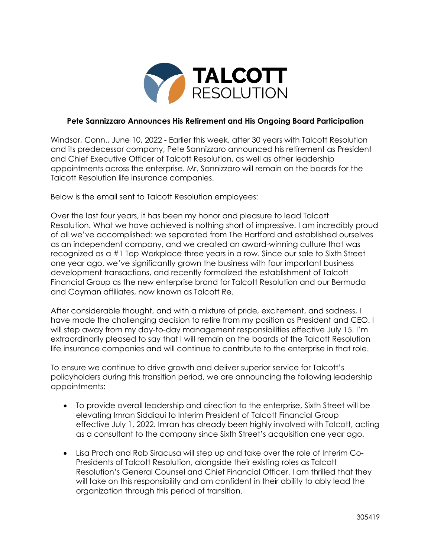

## **Pete Sannizzaro Announces His Retirement and His Ongoing Board Participation**

Windsor, Conn., June 10, 2022 - Earlier this week, after 30 years with Talcott Resolution and its predecessor company, Pete Sannizzaro announced his retirement as President and Chief Executive Officer of Talcott Resolution, as well as other leadership appointments across the enterprise. Mr. Sannizzaro will remain on the boards for the Talcott Resolution life insurance companies.

Below is the email sent to Talcott Resolution employees:

Over the last four years, it has been my honor and pleasure to lead Talcott Resolution. What we have achieved is nothing short of impressive. I am incredibly proud of all we've accomplished: we separated from The Hartford and established ourselves as an independent company, and we created an award-winning culture that was recognized as a #1 Top Workplace three years in a row. Since our sale to Sixth Street one year ago, we've significantly grown the business with four important business development transactions, and recently formalized the establishment of Talcott Financial Group as the new enterprise brand for Talcott Resolution and our Bermuda and Cayman affiliates, now known as Talcott Re.

After considerable thought, and with a mixture of pride, excitement, and sadness, I have made the challenging decision to retire from my position as President and CEO. I will step away from my day-to-day management responsibilities effective July 15. I'm extraordinarily pleased to say that I will remain on the boards of the Talcott Resolution life insurance companies and will continue to contribute to the enterprise in that role.

To ensure we continue to drive growth and deliver superior service for Talcott's policyholders during this transition period, we are announcing the following leadership appointments:

- To provide overall leadership and direction to the enterprise, Sixth Street will be elevating Imran Siddiqui to Interim President of Talcott Financial Group effective July 1, 2022. Imran has already been highly involved with Talcott, acting as a consultant to the company since Sixth Street's acquisition one year ago.
- Lisa Proch and Rob Siracusa will step up and take over the role of Interim Co-Presidents of Talcott Resolution, alongside their existing roles as Talcott Resolution's General Counsel and Chief Financial Officer. I am thrilled that they will take on this responsibility and am confident in their ability to ably lead the organization through this period of transition.